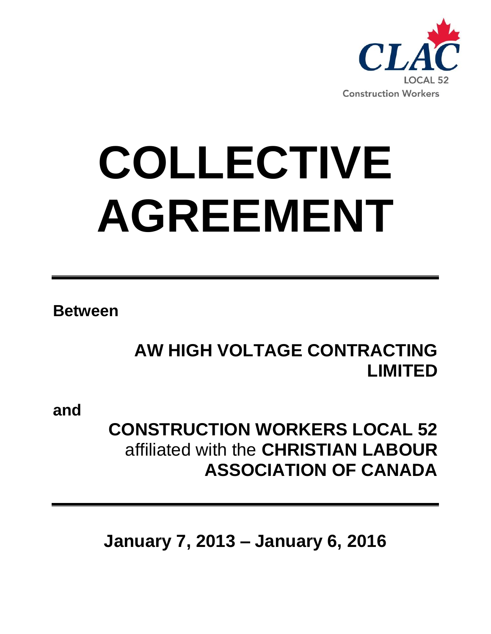

# **COLLECTIVE AGREEMENT**

**Between**

# **AW HIGH VOLTAGE CONTRACTING LIMITED**

**and**

## **CONSTRUCTION WORKERS LOCAL 52**  affiliated with the **CHRISTIAN LABOUR ASSOCIATION OF CANADA**

**January 7, 2013 – January 6, 2016**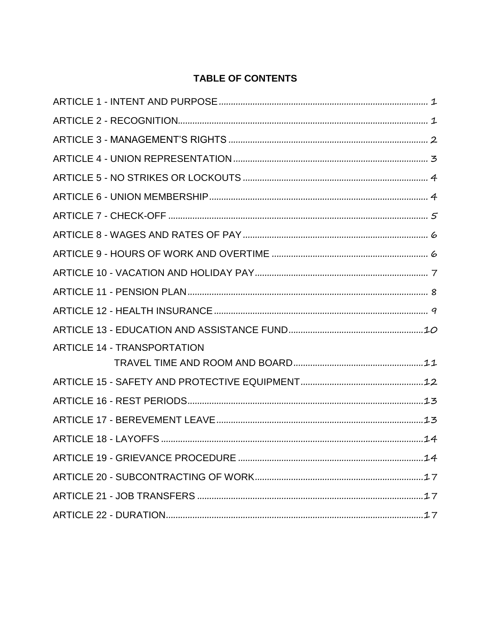#### **TABLE OF CONTENTS**

| <b>ARTICLE 14 - TRANSPORTATION</b> |
|------------------------------------|
|                                    |
|                                    |
|                                    |
|                                    |
|                                    |
|                                    |
|                                    |
|                                    |
|                                    |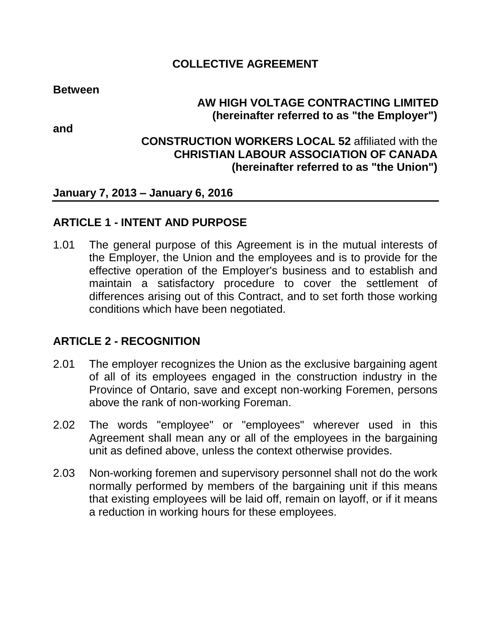#### **COLLECTIVE AGREEMENT**

**Between**

## **AW HIGH VOLTAGE CONTRACTING LIMITED (hereinafter referred to as "the Employer")**

**and**

#### **CONSTRUCTION WORKERS LOCAL 52** affiliated with the **CHRISTIAN LABOUR ASSOCIATION OF CANADA (hereinafter referred to as "the Union")**

#### **January 7, 2013 – January 6, 2016**

#### <span id="page-2-0"></span>**ARTICLE 1 - INTENT AND PURPOSE**

1.01 The general purpose of this Agreement is in the mutual interests of the Employer, the Union and the employees and is to provide for the effective operation of the Employer's business and to establish and maintain a satisfactory procedure to cover the settlement of differences arising out of this Contract, and to set forth those working conditions which have been negotiated.

## <span id="page-2-1"></span>**ARTICLE 2 - RECOGNITION**

- 2.01 The employer recognizes the Union as the exclusive bargaining agent of all of its employees engaged in the construction industry in the Province of Ontario, save and except non-working Foremen, persons above the rank of non-working Foreman.
- 2.02 The words "employee" or "employees" wherever used in this Agreement shall mean any or all of the employees in the bargaining unit as defined above, unless the context otherwise provides.
- 2.03 Non-working foremen and supervisory personnel shall not do the work normally performed by members of the bargaining unit if this means that existing employees will be laid off, remain on layoff, or if it means a reduction in working hours for these employees.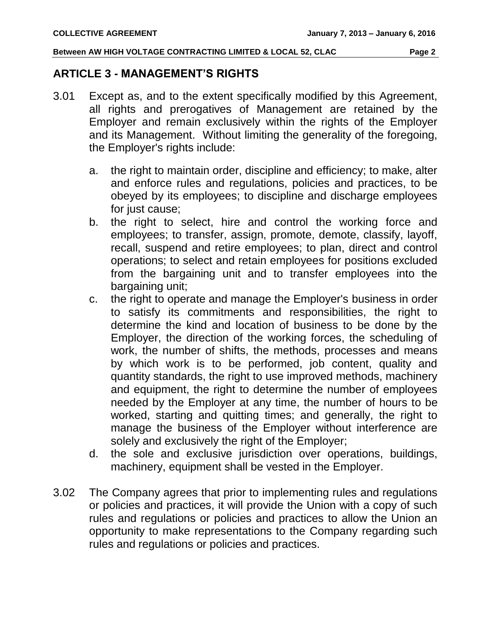#### <span id="page-3-0"></span>**ARTICLE 3 - MANAGEMENT'S RIGHTS**

- 3.01 Except as, and to the extent specifically modified by this Agreement, all rights and prerogatives of Management are retained by the Employer and remain exclusively within the rights of the Employer and its Management. Without limiting the generality of the foregoing, the Employer's rights include:
	- a. the right to maintain order, discipline and efficiency; to make, alter and enforce rules and regulations, policies and practices, to be obeyed by its employees; to discipline and discharge employees for just cause;
	- b. the right to select, hire and control the working force and employees; to transfer, assign, promote, demote, classify, layoff, recall, suspend and retire employees; to plan, direct and control operations; to select and retain employees for positions excluded from the bargaining unit and to transfer employees into the bargaining unit;
	- c. the right to operate and manage the Employer's business in order to satisfy its commitments and responsibilities, the right to determine the kind and location of business to be done by the Employer, the direction of the working forces, the scheduling of work, the number of shifts, the methods, processes and means by which work is to be performed, job content, quality and quantity standards, the right to use improved methods, machinery and equipment, the right to determine the number of employees needed by the Employer at any time, the number of hours to be worked, starting and quitting times; and generally, the right to manage the business of the Employer without interference are solely and exclusively the right of the Employer;
	- d. the sole and exclusive jurisdiction over operations, buildings, machinery, equipment shall be vested in the Employer.
- 3.02 The Company agrees that prior to implementing rules and regulations or policies and practices, it will provide the Union with a copy of such rules and regulations or policies and practices to allow the Union an opportunity to make representations to the Company regarding such rules and regulations or policies and practices.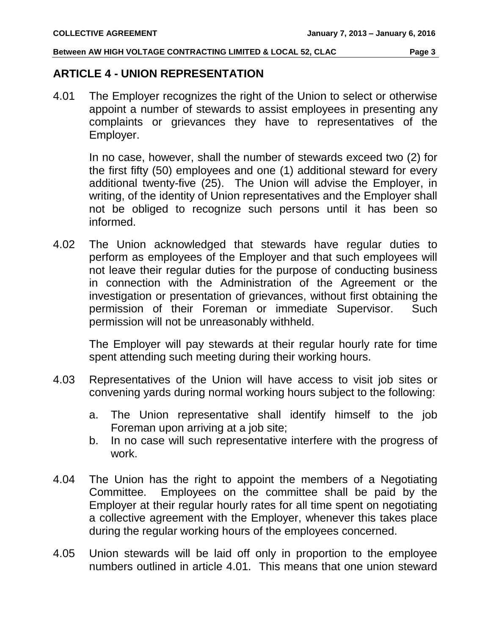#### <span id="page-4-0"></span>**ARTICLE 4 - UNION REPRESENTATION**

4.01 The Employer recognizes the right of the Union to select or otherwise appoint a number of stewards to assist employees in presenting any complaints or grievances they have to representatives of the Employer.

In no case, however, shall the number of stewards exceed two (2) for the first fifty (50) employees and one (1) additional steward for every additional twenty-five (25). The Union will advise the Employer, in writing, of the identity of Union representatives and the Employer shall not be obliged to recognize such persons until it has been so informed.

4.02 The Union acknowledged that stewards have regular duties to perform as employees of the Employer and that such employees will not leave their regular duties for the purpose of conducting business in connection with the Administration of the Agreement or the investigation or presentation of grievances, without first obtaining the permission of their Foreman or immediate Supervisor. Such permission will not be unreasonably withheld.

The Employer will pay stewards at their regular hourly rate for time spent attending such meeting during their working hours.

- 4.03 Representatives of the Union will have access to visit job sites or convening yards during normal working hours subject to the following:
	- a. The Union representative shall identify himself to the job Foreman upon arriving at a job site;
	- b. In no case will such representative interfere with the progress of work.
- 4.04 The Union has the right to appoint the members of a Negotiating Committee. Employees on the committee shall be paid by the Employer at their regular hourly rates for all time spent on negotiating a collective agreement with the Employer, whenever this takes place during the regular working hours of the employees concerned.
- 4.05 Union stewards will be laid off only in proportion to the employee numbers outlined in article 4.01. This means that one union steward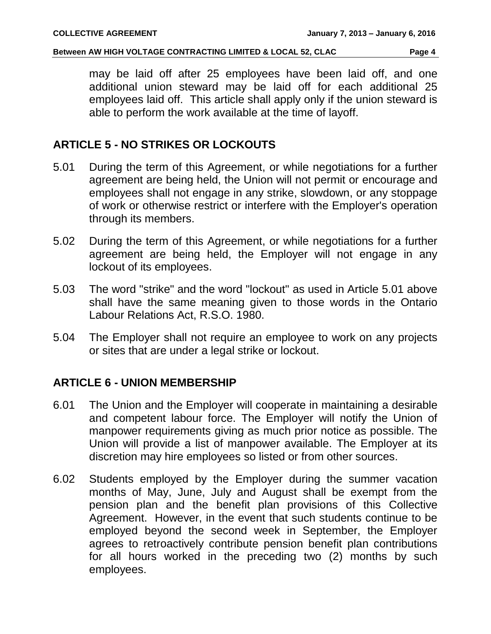may be laid off after 25 employees have been laid off, and one additional union steward may be laid off for each additional 25 employees laid off. This article shall apply only if the union steward is able to perform the work available at the time of layoff.

#### <span id="page-5-0"></span>**ARTICLE 5 - NO STRIKES OR LOCKOUTS**

- 5.01 During the term of this Agreement, or while negotiations for a further agreement are being held, the Union will not permit or encourage and employees shall not engage in any strike, slowdown, or any stoppage of work or otherwise restrict or interfere with the Employer's operation through its members.
- 5.02 During the term of this Agreement, or while negotiations for a further agreement are being held, the Employer will not engage in any lockout of its employees.
- 5.03 The word "strike" and the word "lockout" as used in Article 5.01 above shall have the same meaning given to those words in the Ontario Labour Relations Act, R.S.O. 1980.
- 5.04 The Employer shall not require an employee to work on any projects or sites that are under a legal strike or lockout.

## <span id="page-5-1"></span>**ARTICLE 6 - UNION MEMBERSHIP**

- 6.01 The Union and the Employer will cooperate in maintaining a desirable and competent labour force. The Employer will notify the Union of manpower requirements giving as much prior notice as possible. The Union will provide a list of manpower available. The Employer at its discretion may hire employees so listed or from other sources.
- 6.02 Students employed by the Employer during the summer vacation months of May, June, July and August shall be exempt from the pension plan and the benefit plan provisions of this Collective Agreement. However, in the event that such students continue to be employed beyond the second week in September, the Employer agrees to retroactively contribute pension benefit plan contributions for all hours worked in the preceding two (2) months by such employees.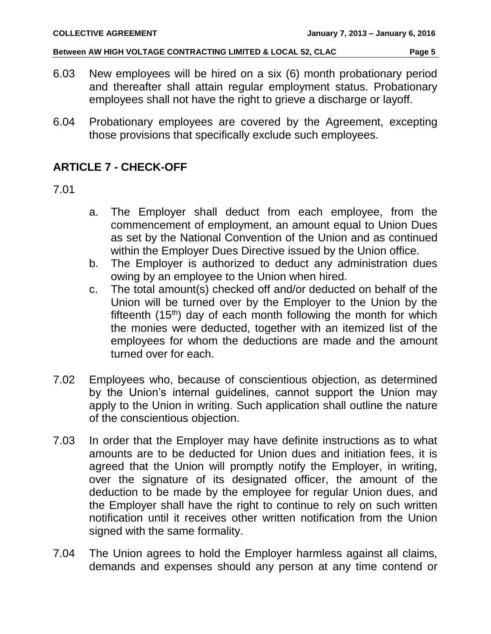- 6.03 New employees will be hired on a six (6) month probationary period and thereafter shall attain regular employment status. Probationary employees shall not have the right to grieve a discharge or layoff.
- 6.04 Probationary employees are covered by the Agreement, excepting those provisions that specifically exclude such employees.

## <span id="page-6-0"></span>**ARTICLE 7 - CHECK-OFF**

#### 7.01

- a. The Employer shall deduct from each employee, from the commencement of employment, an amount equal to Union Dues as set by the National Convention of the Union and as continued within the Employer Dues Directive issued by the Union office.
- b. The Employer is authorized to deduct any administration dues owing by an employee to the Union when hired.
- c. The total amount(s) checked off and/or deducted on behalf of the Union will be turned over by the Employer to the Union by the fifteenth  $(15<sup>th</sup>)$  day of each month following the month for which the monies were deducted, together with an itemized list of the employees for whom the deductions are made and the amount turned over for each.
- 7.02 Employees who, because of conscientious objection, as determined by the Union's internal guidelines, cannot support the Union may apply to the Union in writing. Such application shall outline the nature of the conscientious objection.
- 7.03 In order that the Employer may have definite instructions as to what amounts are to be deducted for Union dues and initiation fees, it is agreed that the Union will promptly notify the Employer, in writing, over the signature of its designated officer, the amount of the deduction to be made by the employee for regular Union dues, and the Employer shall have the right to continue to rely on such written notification until it receives other written notification from the Union signed with the same formality.
- 7.04 The Union agrees to hold the Employer harmless against all claims, demands and expenses should any person at any time contend or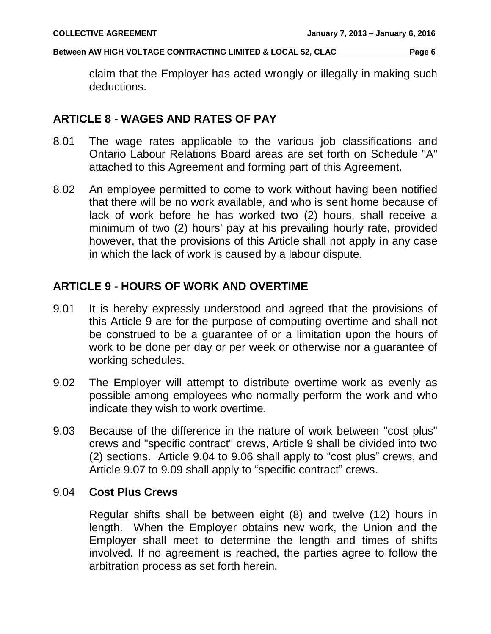claim that the Employer has acted wrongly or illegally in making such deductions.

#### <span id="page-7-0"></span>**ARTICLE 8 - WAGES AND RATES OF PAY**

- 8.01 The wage rates applicable to the various job classifications and Ontario Labour Relations Board areas are set forth on Schedule "A" attached to this Agreement and forming part of this Agreement.
- 8.02 An employee permitted to come to work without having been notified that there will be no work available, and who is sent home because of lack of work before he has worked two (2) hours, shall receive a minimum of two (2) hours' pay at his prevailing hourly rate, provided however, that the provisions of this Article shall not apply in any case in which the lack of work is caused by a labour dispute.

## <span id="page-7-1"></span>**ARTICLE 9 - HOURS OF WORK AND OVERTIME**

- 9.01 It is hereby expressly understood and agreed that the provisions of this Article 9 are for the purpose of computing overtime and shall not be construed to be a guarantee of or a limitation upon the hours of work to be done per day or per week or otherwise nor a guarantee of working schedules.
- 9.02 The Employer will attempt to distribute overtime work as evenly as possible among employees who normally perform the work and who indicate they wish to work overtime.
- 9.03 Because of the difference in the nature of work between "cost plus" crews and "specific contract" crews, Article 9 shall be divided into two (2) sections. Article 9.04 to 9.06 shall apply to "cost plus" crews, and Article 9.07 to 9.09 shall apply to "specific contract" crews.

#### 9.04 **Cost Plus Crews**

Regular shifts shall be between eight (8) and twelve (12) hours in length. When the Employer obtains new work, the Union and the Employer shall meet to determine the length and times of shifts involved. If no agreement is reached, the parties agree to follow the arbitration process as set forth herein.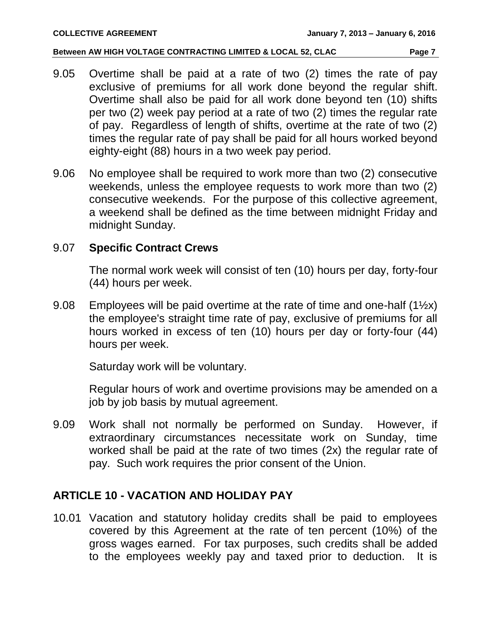- 9.05 Overtime shall be paid at a rate of two (2) times the rate of pay exclusive of premiums for all work done beyond the regular shift. Overtime shall also be paid for all work done beyond ten (10) shifts per two (2) week pay period at a rate of two (2) times the regular rate of pay. Regardless of length of shifts, overtime at the rate of two (2) times the regular rate of pay shall be paid for all hours worked beyond eighty-eight (88) hours in a two week pay period.
- 9.06 No employee shall be required to work more than two (2) consecutive weekends, unless the employee requests to work more than two (2) consecutive weekends. For the purpose of this collective agreement, a weekend shall be defined as the time between midnight Friday and midnight Sunday.

#### 9.07 **Specific Contract Crews**

The normal work week will consist of ten (10) hours per day, forty-four (44) hours per week.

9.08 Employees will be paid overtime at the rate of time and one-half (1<sup>1/2x)</sup> the employee's straight time rate of pay, exclusive of premiums for all hours worked in excess of ten (10) hours per day or forty-four (44) hours per week.

Saturday work will be voluntary.

Regular hours of work and overtime provisions may be amended on a job by job basis by mutual agreement.

9.09 Work shall not normally be performed on Sunday. However, if extraordinary circumstances necessitate work on Sunday, time worked shall be paid at the rate of two times (2x) the regular rate of pay. Such work requires the prior consent of the Union.

## <span id="page-8-0"></span>**ARTICLE 10 - VACATION AND HOLIDAY PAY**

10.01 Vacation and statutory holiday credits shall be paid to employees covered by this Agreement at the rate of ten percent (10%) of the gross wages earned. For tax purposes, such credits shall be added to the employees weekly pay and taxed prior to deduction. It is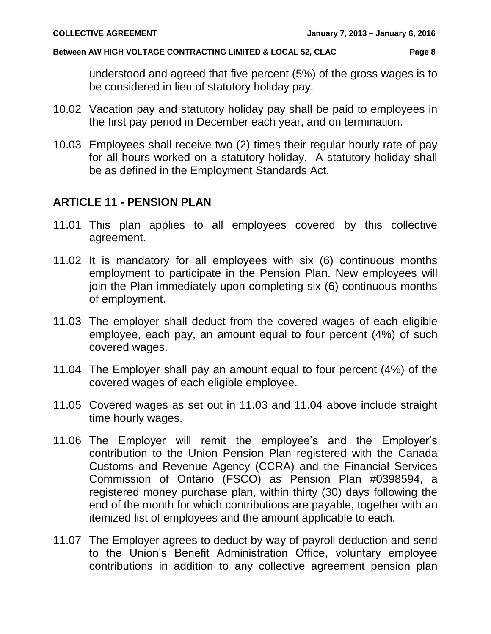understood and agreed that five percent (5%) of the gross wages is to be considered in lieu of statutory holiday pay.

- 10.02 Vacation pay and statutory holiday pay shall be paid to employees in the first pay period in December each year, and on termination.
- 10.03 Employees shall receive two (2) times their regular hourly rate of pay for all hours worked on a statutory holiday. A statutory holiday shall be as defined in the Employment Standards Act.

## <span id="page-9-0"></span>**ARTICLE 11 - PENSION PLAN**

- 11.01 This plan applies to all employees covered by this collective agreement.
- 11.02 It is mandatory for all employees with six (6) continuous months employment to participate in the Pension Plan. New employees will join the Plan immediately upon completing six (6) continuous months of employment.
- 11.03 The employer shall deduct from the covered wages of each eligible employee, each pay, an amount equal to four percent (4%) of such covered wages.
- 11.04 The Employer shall pay an amount equal to four percent (4%) of the covered wages of each eligible employee.
- 11.05 Covered wages as set out in 11.03 and 11.04 above include straight time hourly wages.
- 11.06 The Employer will remit the employee's and the Employer's contribution to the Union Pension Plan registered with the Canada Customs and Revenue Agency (CCRA) and the Financial Services Commission of Ontario (FSCO) as Pension Plan #0398594, a registered money purchase plan, within thirty (30) days following the end of the month for which contributions are payable, together with an itemized list of employees and the amount applicable to each.
- 11.07 The Employer agrees to deduct by way of payroll deduction and send to the Union's Benefit Administration Office, voluntary employee contributions in addition to any collective agreement pension plan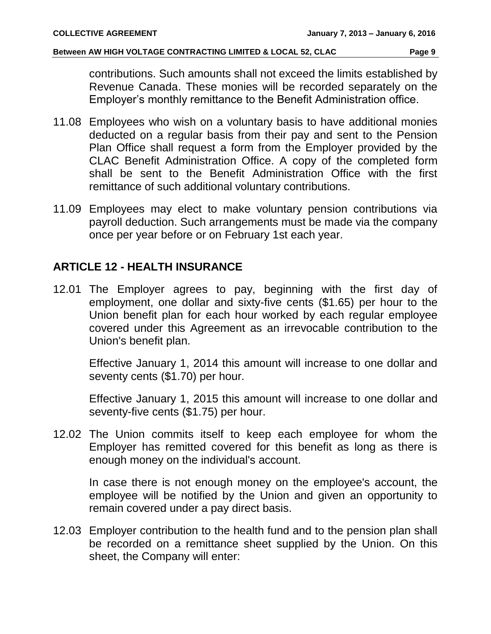contributions. Such amounts shall not exceed the limits established by Revenue Canada. These monies will be recorded separately on the Employer's monthly remittance to the Benefit Administration office.

- 11.08 Employees who wish on a voluntary basis to have additional monies deducted on a regular basis from their pay and sent to the Pension Plan Office shall request a form from the Employer provided by the CLAC Benefit Administration Office. A copy of the completed form shall be sent to the Benefit Administration Office with the first remittance of such additional voluntary contributions.
- 11.09 Employees may elect to make voluntary pension contributions via payroll deduction. Such arrangements must be made via the company once per year before or on February 1st each year.

#### <span id="page-10-0"></span>**ARTICLE 12 - HEALTH INSURANCE**

12.01 The Employer agrees to pay, beginning with the first day of employment, one dollar and sixty-five cents (\$1.65) per hour to the Union benefit plan for each hour worked by each regular employee covered under this Agreement as an irrevocable contribution to the Union's benefit plan.

Effective January 1, 2014 this amount will increase to one dollar and seventy cents (\$1.70) per hour.

Effective January 1, 2015 this amount will increase to one dollar and seventy-five cents (\$1.75) per hour.

12.02 The Union commits itself to keep each employee for whom the Employer has remitted covered for this benefit as long as there is enough money on the individual's account.

In case there is not enough money on the employee's account, the employee will be notified by the Union and given an opportunity to remain covered under a pay direct basis.

12.03 Employer contribution to the health fund and to the pension plan shall be recorded on a remittance sheet supplied by the Union. On this sheet, the Company will enter: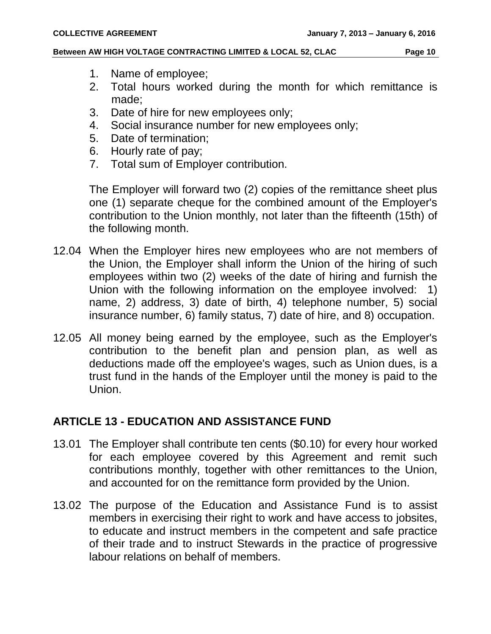- 1. Name of employee;
- 2. Total hours worked during the month for which remittance is made;
- 3. Date of hire for new employees only;
- 4. Social insurance number for new employees only;
- 5. Date of termination;
- 6. Hourly rate of pay;
- 7. Total sum of Employer contribution.

The Employer will forward two (2) copies of the remittance sheet plus one (1) separate cheque for the combined amount of the Employer's contribution to the Union monthly, not later than the fifteenth (15th) of the following month.

- 12.04 When the Employer hires new employees who are not members of the Union, the Employer shall inform the Union of the hiring of such employees within two (2) weeks of the date of hiring and furnish the Union with the following information on the employee involved: 1) name, 2) address, 3) date of birth, 4) telephone number, 5) social insurance number, 6) family status, 7) date of hire, and 8) occupation.
- 12.05 All money being earned by the employee, such as the Employer's contribution to the benefit plan and pension plan, as well as deductions made off the employee's wages, such as Union dues, is a trust fund in the hands of the Employer until the money is paid to the Union.

## <span id="page-11-0"></span>**ARTICLE 13 - EDUCATION AND ASSISTANCE FUND**

- 13.01 The Employer shall contribute ten cents (\$0.10) for every hour worked for each employee covered by this Agreement and remit such contributions monthly, together with other remittances to the Union, and accounted for on the remittance form provided by the Union.
- 13.02 The purpose of the Education and Assistance Fund is to assist members in exercising their right to work and have access to jobsites, to educate and instruct members in the competent and safe practice of their trade and to instruct Stewards in the practice of progressive labour relations on behalf of members.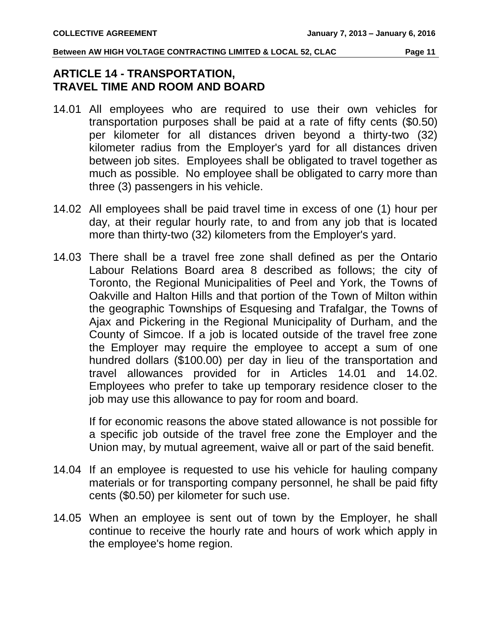## <span id="page-12-1"></span><span id="page-12-0"></span>**ARTICLE 14 - TRANSPORTATION, TRAVEL TIME AND ROOM AND BOARD**

- 14.01 All employees who are required to use their own vehicles for transportation purposes shall be paid at a rate of fifty cents (\$0.50) per kilometer for all distances driven beyond a thirty-two (32) kilometer radius from the Employer's yard for all distances driven between job sites. Employees shall be obligated to travel together as much as possible. No employee shall be obligated to carry more than three (3) passengers in his vehicle.
- 14.02 All employees shall be paid travel time in excess of one (1) hour per day, at their regular hourly rate, to and from any job that is located more than thirty-two (32) kilometers from the Employer's yard.
- 14.03 There shall be a travel free zone shall defined as per the Ontario Labour Relations Board area 8 described as follows; the city of Toronto, the Regional Municipalities of Peel and York, the Towns of Oakville and Halton Hills and that portion of the Town of Milton within the geographic Townships of Esquesing and Trafalgar, the Towns of Ajax and Pickering in the Regional Municipality of Durham, and the County of Simcoe. If a job is located outside of the travel free zone the Employer may require the employee to accept a sum of one hundred dollars (\$100.00) per day in lieu of the transportation and travel allowances provided for in Articles 14.01 and 14.02. Employees who prefer to take up temporary residence closer to the job may use this allowance to pay for room and board.

If for economic reasons the above stated allowance is not possible for a specific job outside of the travel free zone the Employer and the Union may, by mutual agreement, waive all or part of the said benefit.

- 14.04 If an employee is requested to use his vehicle for hauling company materials or for transporting company personnel, he shall be paid fifty cents (\$0.50) per kilometer for such use.
- 14.05 When an employee is sent out of town by the Employer, he shall continue to receive the hourly rate and hours of work which apply in the employee's home region.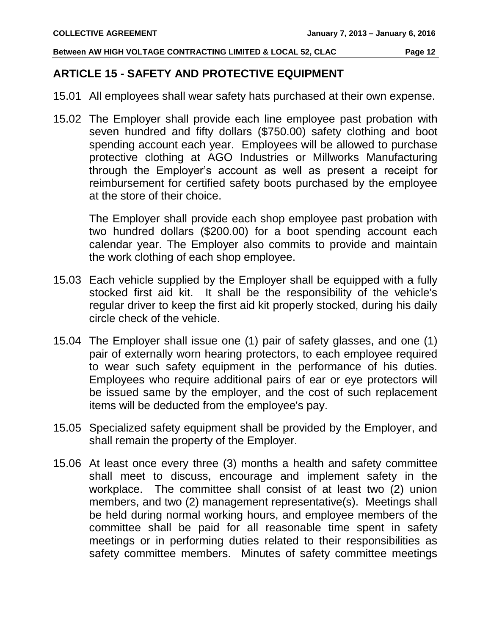#### <span id="page-13-0"></span>**ARTICLE 15 - SAFETY AND PROTECTIVE EQUIPMENT**

- 15.01 All employees shall wear safety hats purchased at their own expense.
- 15.02 The Employer shall provide each line employee past probation with seven hundred and fifty dollars (\$750.00) safety clothing and boot spending account each year. Employees will be allowed to purchase protective clothing at AGO Industries or Millworks Manufacturing through the Employer's account as well as present a receipt for reimbursement for certified safety boots purchased by the employee at the store of their choice.

The Employer shall provide each shop employee past probation with two hundred dollars (\$200.00) for a boot spending account each calendar year. The Employer also commits to provide and maintain the work clothing of each shop employee.

- 15.03 Each vehicle supplied by the Employer shall be equipped with a fully stocked first aid kit. It shall be the responsibility of the vehicle's regular driver to keep the first aid kit properly stocked, during his daily circle check of the vehicle.
- 15.04 The Employer shall issue one (1) pair of safety glasses, and one (1) pair of externally worn hearing protectors, to each employee required to wear such safety equipment in the performance of his duties. Employees who require additional pairs of ear or eye protectors will be issued same by the employer, and the cost of such replacement items will be deducted from the employee's pay.
- 15.05 Specialized safety equipment shall be provided by the Employer, and shall remain the property of the Employer.
- 15.06 At least once every three (3) months a health and safety committee shall meet to discuss, encourage and implement safety in the workplace. The committee shall consist of at least two (2) union members, and two (2) management representative(s). Meetings shall be held during normal working hours, and employee members of the committee shall be paid for all reasonable time spent in safety meetings or in performing duties related to their responsibilities as safety committee members. Minutes of safety committee meetings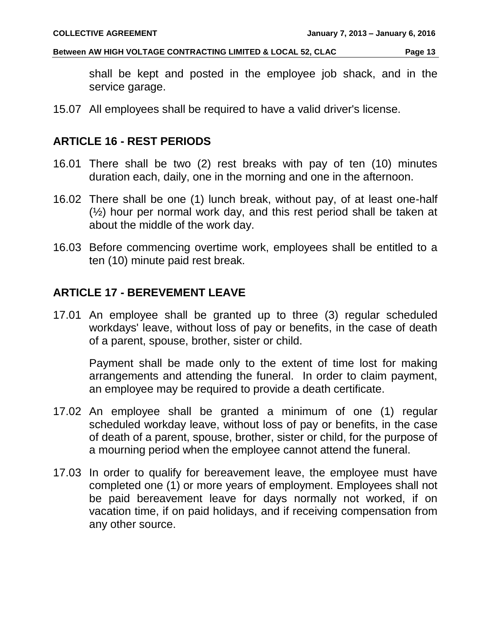shall be kept and posted in the employee job shack, and in the service garage.

15.07 All employees shall be required to have a valid driver's license.

#### <span id="page-14-0"></span>**ARTICLE 16 - REST PERIODS**

- 16.01 There shall be two (2) rest breaks with pay of ten (10) minutes duration each, daily, one in the morning and one in the afternoon.
- 16.02 There shall be one (1) lunch break, without pay, of at least one-half (½) hour per normal work day, and this rest period shall be taken at about the middle of the work day.
- 16.03 Before commencing overtime work, employees shall be entitled to a ten (10) minute paid rest break.

#### <span id="page-14-1"></span>**ARTICLE 17 - BEREVEMENT LEAVE**

17.01 An employee shall be granted up to three (3) regular scheduled workdays' leave, without loss of pay or benefits, in the case of death of a parent, spouse, brother, sister or child.

Payment shall be made only to the extent of time lost for making arrangements and attending the funeral. In order to claim payment, an employee may be required to provide a death certificate.

- 17.02 An employee shall be granted a minimum of one (1) regular scheduled workday leave, without loss of pay or benefits, in the case of death of a parent, spouse, brother, sister or child, for the purpose of a mourning period when the employee cannot attend the funeral.
- 17.03 In order to qualify for bereavement leave, the employee must have completed one (1) or more years of employment. Employees shall not be paid bereavement leave for days normally not worked, if on vacation time, if on paid holidays, and if receiving compensation from any other source.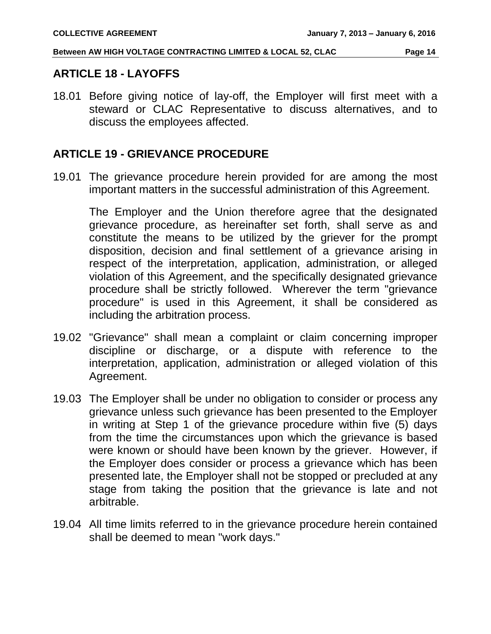#### <span id="page-15-0"></span>**ARTICLE 18 - LAYOFFS**

18.01 Before giving notice of lay-off, the Employer will first meet with a steward or CLAC Representative to discuss alternatives, and to discuss the employees affected.

#### <span id="page-15-1"></span>**ARTICLE 19 - GRIEVANCE PROCEDURE**

19.01 The grievance procedure herein provided for are among the most important matters in the successful administration of this Agreement.

The Employer and the Union therefore agree that the designated grievance procedure, as hereinafter set forth, shall serve as and constitute the means to be utilized by the griever for the prompt disposition, decision and final settlement of a grievance arising in respect of the interpretation, application, administration, or alleged violation of this Agreement, and the specifically designated grievance procedure shall be strictly followed. Wherever the term "grievance procedure" is used in this Agreement, it shall be considered as including the arbitration process.

- 19.02 "Grievance" shall mean a complaint or claim concerning improper discipline or discharge, or a dispute with reference to the interpretation, application, administration or alleged violation of this Agreement.
- 19.03 The Employer shall be under no obligation to consider or process any grievance unless such grievance has been presented to the Employer in writing at Step 1 of the grievance procedure within five (5) days from the time the circumstances upon which the grievance is based were known or should have been known by the griever. However, if the Employer does consider or process a grievance which has been presented late, the Employer shall not be stopped or precluded at any stage from taking the position that the grievance is late and not arbitrable.
- 19.04 All time limits referred to in the grievance procedure herein contained shall be deemed to mean "work days."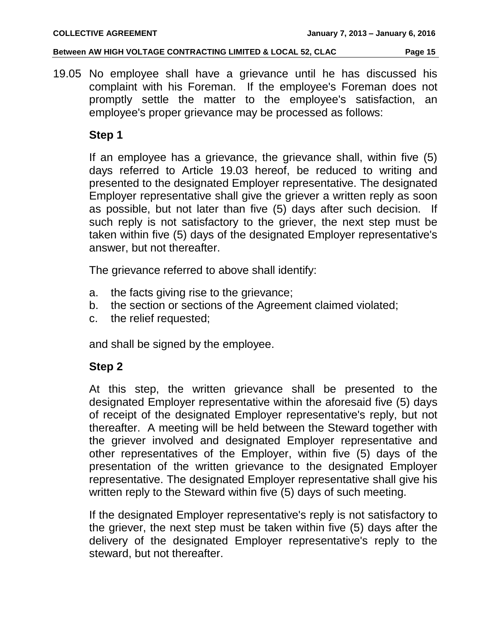19.05 No employee shall have a grievance until he has discussed his complaint with his Foreman. If the employee's Foreman does not promptly settle the matter to the employee's satisfaction, an employee's proper grievance may be processed as follows:

#### **Step 1**

If an employee has a grievance, the grievance shall, within five (5) days referred to Article 19.03 hereof, be reduced to writing and presented to the designated Employer representative. The designated Employer representative shall give the griever a written reply as soon as possible, but not later than five (5) days after such decision. If such reply is not satisfactory to the griever, the next step must be taken within five (5) days of the designated Employer representative's answer, but not thereafter.

The grievance referred to above shall identify:

- a. the facts giving rise to the grievance;
- b. the section or sections of the Agreement claimed violated;
- c. the relief requested;

and shall be signed by the employee.

## **Step 2**

At this step, the written grievance shall be presented to the designated Employer representative within the aforesaid five (5) days of receipt of the designated Employer representative's reply, but not thereafter. A meeting will be held between the Steward together with the griever involved and designated Employer representative and other representatives of the Employer, within five (5) days of the presentation of the written grievance to the designated Employer representative. The designated Employer representative shall give his written reply to the Steward within five (5) days of such meeting.

If the designated Employer representative's reply is not satisfactory to the griever, the next step must be taken within five (5) days after the delivery of the designated Employer representative's reply to the steward, but not thereafter.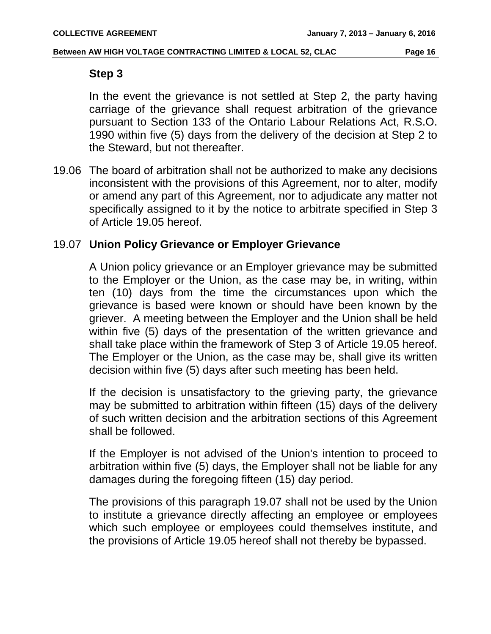#### **Step 3**

In the event the grievance is not settled at Step 2, the party having carriage of the grievance shall request arbitration of the grievance pursuant to Section 133 of the Ontario Labour Relations Act, R.S.O. 1990 within five (5) days from the delivery of the decision at Step 2 to the Steward, but not thereafter.

19.06 The board of arbitration shall not be authorized to make any decisions inconsistent with the provisions of this Agreement, nor to alter, modify or amend any part of this Agreement, nor to adjudicate any matter not specifically assigned to it by the notice to arbitrate specified in Step 3 of Article 19.05 hereof.

#### 19.07 **Union Policy Grievance or Employer Grievance**

A Union policy grievance or an Employer grievance may be submitted to the Employer or the Union, as the case may be, in writing, within ten (10) days from the time the circumstances upon which the grievance is based were known or should have been known by the griever. A meeting between the Employer and the Union shall be held within five (5) days of the presentation of the written grievance and shall take place within the framework of Step 3 of Article 19.05 hereof. The Employer or the Union, as the case may be, shall give its written decision within five (5) days after such meeting has been held.

If the decision is unsatisfactory to the grieving party, the grievance may be submitted to arbitration within fifteen (15) days of the delivery of such written decision and the arbitration sections of this Agreement shall be followed.

If the Employer is not advised of the Union's intention to proceed to arbitration within five (5) days, the Employer shall not be liable for any damages during the foregoing fifteen (15) day period.

The provisions of this paragraph 19.07 shall not be used by the Union to institute a grievance directly affecting an employee or employees which such employee or employees could themselves institute, and the provisions of Article 19.05 hereof shall not thereby be bypassed.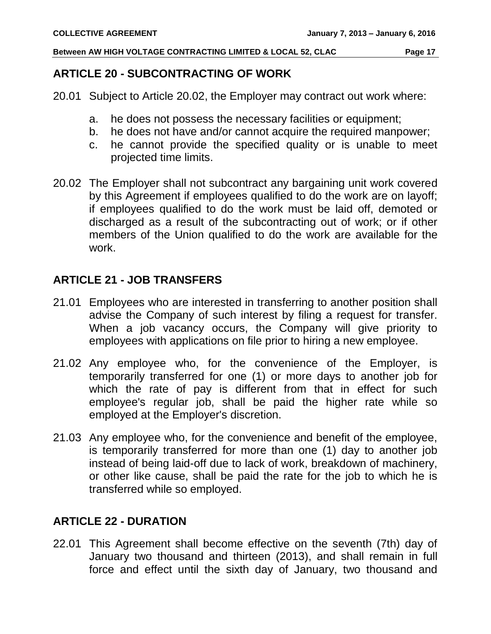#### <span id="page-18-0"></span>**ARTICLE 20 - SUBCONTRACTING OF WORK**

- 20.01 Subject to Article 20.02, the Employer may contract out work where:
	- a. he does not possess the necessary facilities or equipment;
	- b. he does not have and/or cannot acquire the required manpower;
	- c. he cannot provide the specified quality or is unable to meet projected time limits.
- 20.02 The Employer shall not subcontract any bargaining unit work covered by this Agreement if employees qualified to do the work are on layoff; if employees qualified to do the work must be laid off, demoted or discharged as a result of the subcontracting out of work; or if other members of the Union qualified to do the work are available for the work.

#### <span id="page-18-1"></span>**ARTICLE 21 - JOB TRANSFERS**

- 21.01 Employees who are interested in transferring to another position shall advise the Company of such interest by filing a request for transfer. When a job vacancy occurs, the Company will give priority to employees with applications on file prior to hiring a new employee.
- 21.02 Any employee who, for the convenience of the Employer, is temporarily transferred for one (1) or more days to another job for which the rate of pay is different from that in effect for such employee's regular job, shall be paid the higher rate while so employed at the Employer's discretion.
- 21.03 Any employee who, for the convenience and benefit of the employee, is temporarily transferred for more than one (1) day to another job instead of being laid-off due to lack of work, breakdown of machinery, or other like cause, shall be paid the rate for the job to which he is transferred while so employed.

## <span id="page-18-2"></span>**ARTICLE 22 - DURATION**

22.01 This Agreement shall become effective on the seventh (7th) day of January two thousand and thirteen (2013), and shall remain in full force and effect until the sixth day of January, two thousand and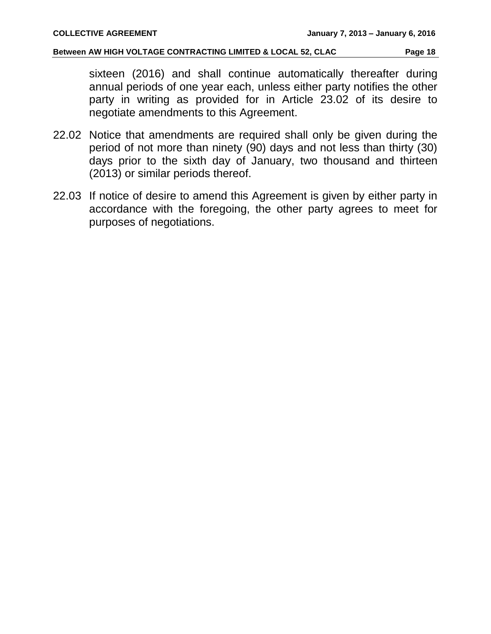sixteen (2016) and shall continue automatically thereafter during annual periods of one year each, unless either party notifies the other party in writing as provided for in Article 23.02 of its desire to negotiate amendments to this Agreement.

- 22.02 Notice that amendments are required shall only be given during the period of not more than ninety (90) days and not less than thirty (30) days prior to the sixth day of January, two thousand and thirteen (2013) or similar periods thereof.
- 22.03 If notice of desire to amend this Agreement is given by either party in accordance with the foregoing, the other party agrees to meet for purposes of negotiations.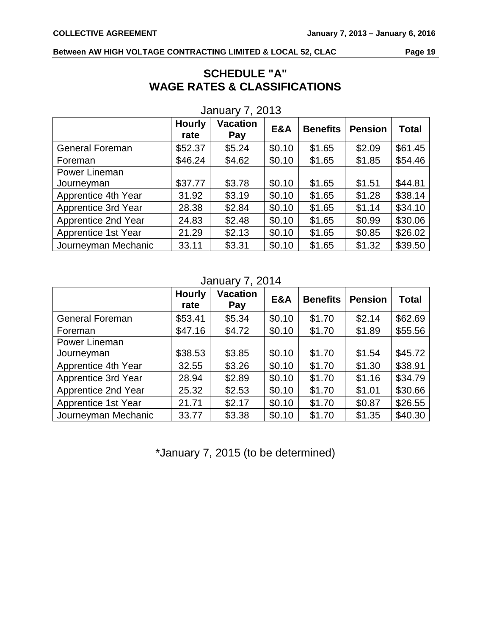| <b>SCHEDULE "A"</b>                     |  |  |  |  |  |  |  |
|-----------------------------------------|--|--|--|--|--|--|--|
| <b>WAGE RATES &amp; CLASSIFICATIONS</b> |  |  |  |  |  |  |  |

|                        | <b>Hourly</b><br>rate | <b>Vacation</b><br>Pay | E&A    | <b>Benefits</b> | <b>Pension</b> | <b>Total</b> |
|------------------------|-----------------------|------------------------|--------|-----------------|----------------|--------------|
| <b>General Foreman</b> | \$52.37               | \$5.24                 | \$0.10 | \$1.65          | \$2.09         | \$61.45      |
| Foreman                | \$46.24               | \$4.62                 | \$0.10 | \$1.65          | \$1.85         | \$54.46      |
| Power Lineman          |                       |                        |        |                 |                |              |
| Journeyman             | \$37.77               | \$3.78                 | \$0.10 | \$1.65          | \$1.51         | \$44.81      |
| Apprentice 4th Year    | 31.92                 | \$3.19                 | \$0.10 | \$1.65          | \$1.28         | \$38.14      |
| Apprentice 3rd Year    | 28.38                 | \$2.84                 | \$0.10 | \$1.65          | \$1.14         | \$34.10      |
| Apprentice 2nd Year    | 24.83                 | \$2.48                 | \$0.10 | \$1.65          | \$0.99         | \$30.06      |
| Apprentice 1st Year    | 21.29                 | \$2.13                 | \$0.10 | \$1.65          | \$0.85         | \$26.02      |
| Journeyman Mechanic    | 33.11                 | \$3.31                 | \$0.10 | \$1.65          | \$1.32         | \$39.50      |

#### January 7, 2013

#### January 7, 2014

|                        | <b>Hourly</b><br>rate | <b>Vacation</b><br>Pay | E&A    | <b>Benefits</b> | <b>Pension</b> | <b>Total</b> |
|------------------------|-----------------------|------------------------|--------|-----------------|----------------|--------------|
| <b>General Foreman</b> | \$53.41               | \$5.34                 | \$0.10 | \$1.70          | \$2.14         | \$62.69      |
| Foreman                | \$47.16               | \$4.72                 | \$0.10 | \$1.70          | \$1.89         | \$55.56      |
| Power Lineman          |                       |                        |        |                 |                |              |
| Journeyman             | \$38.53               | \$3.85                 | \$0.10 | \$1.70          | \$1.54         | \$45.72      |
| Apprentice 4th Year    | 32.55                 | \$3.26                 | \$0.10 | \$1.70          | \$1.30         | \$38.91      |
| Apprentice 3rd Year    | 28.94                 | \$2.89                 | \$0.10 | \$1.70          | \$1.16         | \$34.79      |
| Apprentice 2nd Year    | 25.32                 | \$2.53                 | \$0.10 | \$1.70          | \$1.01         | \$30.66      |
| Apprentice 1st Year    | 21.71                 | \$2.17                 | \$0.10 | \$1.70          | \$0.87         | \$26.55      |
| Journeyman Mechanic    | 33.77                 | \$3.38                 | \$0.10 | \$1.70          | \$1.35         | \$40.30      |

\*January 7, 2015 (to be determined)